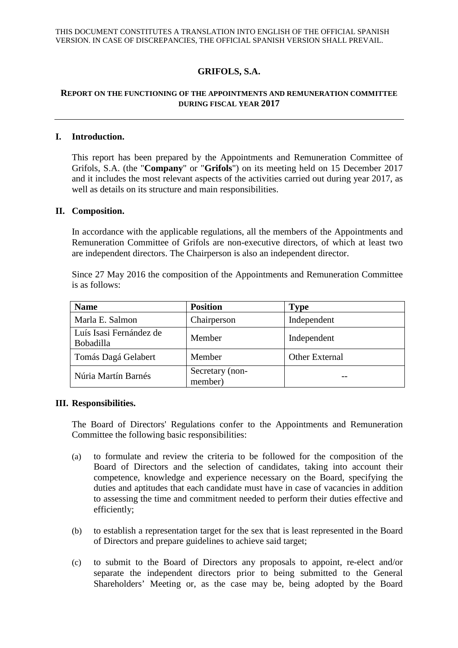# **GRIFOLS, S.A.**

## **REPORT ON THE FUNCTIONING OF THE APPOINTMENTS AND REMUNERATION COMMITTEE DURING FISCAL YEAR 2017**

### **I. Introduction.**

This report has been prepared by the Appointments and Remuneration Committee of Grifols, S.A. (the "**Company**" or "**Grifols**") on its meeting held on 15 December 2017 and it includes the most relevant aspects of the activities carried out during year 2017, as well as details on its structure and main responsibilities.

#### **II. Composition.**

In accordance with the applicable regulations, all the members of the Appointments and Remuneration Committee of Grifols are non-executive directors, of which at least two are independent directors. The Chairperson is also an independent director.

|                |  |  | Since 27 May 2016 the composition of the Appointments and Remuneration Committee |  |
|----------------|--|--|----------------------------------------------------------------------------------|--|
| is as follows: |  |  |                                                                                  |  |

| <b>Name</b>                          | <b>Position</b>            | <b>Type</b>           |
|--------------------------------------|----------------------------|-----------------------|
| Marla E. Salmon                      | Chairperson                | Independent           |
| Luís Isasi Fernández de<br>Bobadilla | Member                     | Independent           |
| Tomás Dagá Gelabert                  | Member                     | <b>Other External</b> |
| Núria Martín Barnés                  | Secretary (non-<br>member) |                       |

#### **III. Responsibilities.**

The Board of Directors' Regulations confer to the Appointments and Remuneration Committee the following basic responsibilities:

- (a) to formulate and review the criteria to be followed for the composition of the Board of Directors and the selection of candidates, taking into account their competence, knowledge and experience necessary on the Board, specifying the duties and aptitudes that each candidate must have in case of vacancies in addition to assessing the time and commitment needed to perform their duties effective and efficiently;
- (b) to establish a representation target for the sex that is least represented in the Board of Directors and prepare guidelines to achieve said target;
- (c) to submit to the Board of Directors any proposals to appoint, re-elect and/or separate the independent directors prior to being submitted to the General Shareholders' Meeting or, as the case may be, being adopted by the Board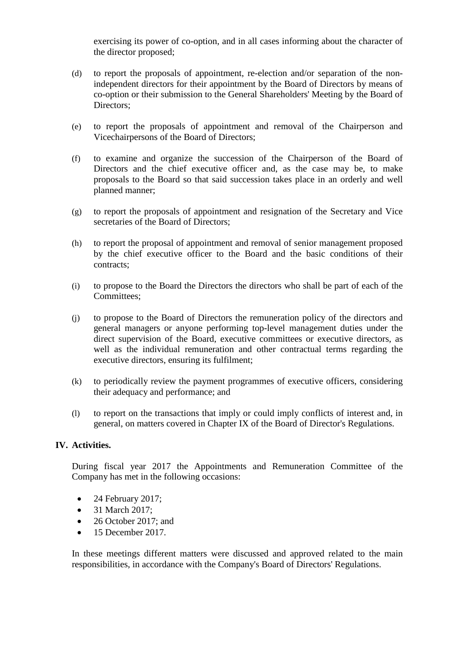exercising its power of co-option, and in all cases informing about the character of the director proposed;

- (d) to report the proposals of appointment, re-election and/or separation of the nonindependent directors for their appointment by the Board of Directors by means of co-option or their submission to the General Shareholders' Meeting by the Board of Directors;
- (e) to report the proposals of appointment and removal of the Chairperson and Vicechairpersons of the Board of Directors;
- (f) to examine and organize the succession of the Chairperson of the Board of Directors and the chief executive officer and, as the case may be, to make proposals to the Board so that said succession takes place in an orderly and well planned manner;
- (g) to report the proposals of appointment and resignation of the Secretary and Vice secretaries of the Board of Directors;
- (h) to report the proposal of appointment and removal of senior management proposed by the chief executive officer to the Board and the basic conditions of their contracts;
- (i) to propose to the Board the Directors the directors who shall be part of each of the Committees;
- (j) to propose to the Board of Directors the remuneration policy of the directors and general managers or anyone performing top-level management duties under the direct supervision of the Board, executive committees or executive directors, as well as the individual remuneration and other contractual terms regarding the executive directors, ensuring its fulfilment;
- (k) to periodically review the payment programmes of executive officers, considering their adequacy and performance; and
- (l) to report on the transactions that imply or could imply conflicts of interest and, in general, on matters covered in Chapter IX of the Board of Director's Regulations.

## **IV. Activities.**

During fiscal year 2017 the Appointments and Remuneration Committee of the Company has met in the following occasions:

- 24 February 2017;
- 31 March 2017:
- 26 October 2017; and
- $\bullet$  15 December 2017.

In these meetings different matters were discussed and approved related to the main responsibilities, in accordance with the Company's Board of Directors' Regulations.